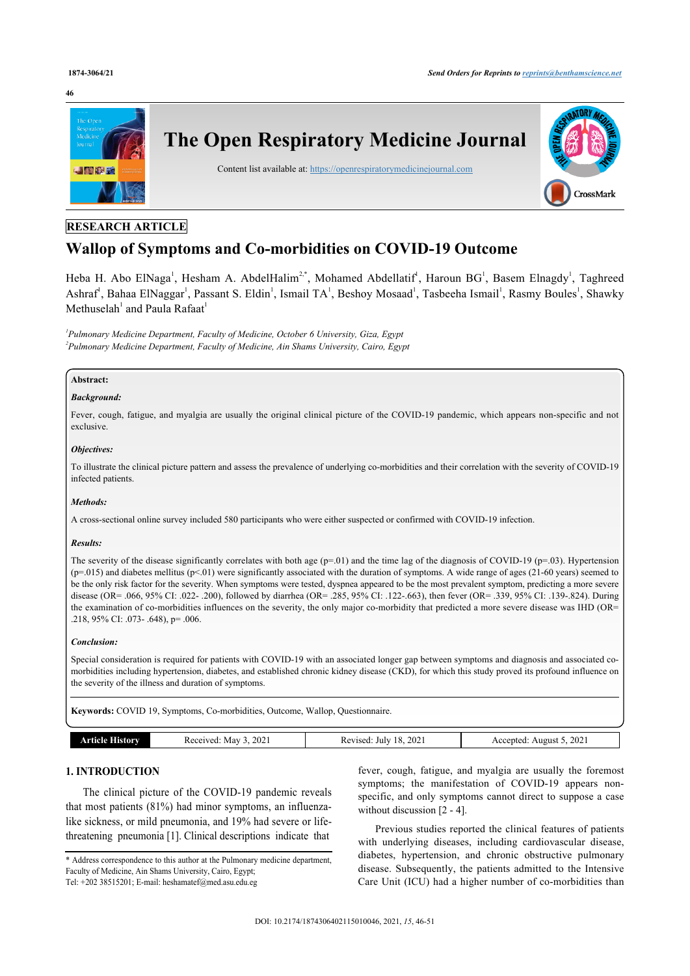#### **46**



# **RESEARCH ARTICLE**

# **Wallop of Symptoms and Co-morbidities on COVID-19 Outcome**

Heba H. Abo ElNaga<sup>[1](#page-0-0)</sup>, Hesham A. AbdelHalim<sup>[2](#page-0-1),[\\*](#page-0-2)</sup>, Mohamed Abdellatif<sup>1</sup>, Haroun BG<sup>1</sup>, Basem Elnagdy<sup>1</sup>, Taghreed Ashraf<sup>[1](#page-0-0)</sup>, Bahaa ElNaggar<sup>1</sup>, Passant S. Eldin<sup>1</sup>, Ismail TA<sup>1</sup>, Beshoy Mosaad<sup>1</sup>, Tasbeeha Ismail<sup>1</sup>, Rasmy Boules<sup>1</sup>, Shawky Methuselah $^1$  $^1$  and Paula Rafaat $^1$ 

<span id="page-0-1"></span><span id="page-0-0"></span>*1 Pulmonary Medicine Department, Faculty of Medicine, October 6 University, Giza, Egypt 2 Pulmonary Medicine Department, Faculty of Medicine, Ain Shams University, Cairo, Egypt*

# **Abstract:**

#### *Background:*

Fever, cough, fatigue, and myalgia are usually the original clinical picture of the COVID-19 pandemic, which appears non-specific and not exclusive.

## *Objectives:*

To illustrate the clinical picture pattern and assess the prevalence of underlying co-morbidities and their correlation with the severity of COVID-19 infected patients.

#### *Methods:*

A cross-sectional online survey included 580 participants who were either suspected or confirmed with COVID-19 infection.

#### *Results:*

The severity of the disease significantly correlates with both age  $(p=01)$  and the time lag of the diagnosis of COVID-19  $(p=03)$ . Hypertension  $(p=015)$  and diabetes mellitus  $(p<01)$  were significantly associated with the duration of symptoms. A wide range of ages (21-60 years) seemed to be the only risk factor for the severity. When symptoms were tested, dyspnea appeared to be the most prevalent symptom, predicting a more severe disease (OR= .066, 95% CI: .022- .200), followed by diarrhea (OR= .285, 95% CI: .122-.663), then fever (OR= .339, 95% CI: .139-.824). During the examination of co-morbidities influences on the severity, the only major co-morbidity that predicted a more severe disease was IHD (OR= .218, 95% CI: .073- .648), p= .006.

#### *Conclusion:*

Special consideration is required for patients with COVID-19 with an associated longer gap between symptoms and diagnosis and associated comorbidities including hypertension, diabetes, and established chronic kidney disease (CKD), for which this study proved its profound influence on the severity of the illness and duration of symptoms.

**Keywords:** COVID 19, Symptoms, Co-morbidities, Outcome, Wallop, Questionnaire.

| History<br>rticle | , 2021<br>May<br>Received: Ma | 2021<br>18<br>Revised:<br>July | 2021<br>Accepted<br>August |
|-------------------|-------------------------------|--------------------------------|----------------------------|
|                   |                               |                                |                            |

# **1. INTRODUCTION**

The clinical picture of the COVID-19 pandemic reveals that most patients (81%) had minor symptoms, an influenzalike sickness, or mild pneumonia, and 19% had severe or lifethreatening pneumonia [[1](#page-5-0)]. Clinical descriptions indicate that

<span id="page-0-2"></span>\* Address correspondence to this author at the Pulmonary medicine department, Faculty of Medicine, Ain Shams University, Cairo, Egypt;

fever, cough, fatigue, and myalgia are usually the foremost symptoms; the manifestation of COVID-19 appears nonspecific, and only symptoms cannot direct to suppose a case without discussion [\[2](#page-5-1) - [4\]](#page-5-2).

Previous studies reported the clinical features of patients with underlying diseases, including cardiovascular disease, diabetes, hypertension, and chronic obstructive pulmonary disease. Subsequently, the patients admitted to the Intensive Care Unit (ICU) had a higher number of co-morbidities than

Tel: +202 38515201; E-mail: [heshamatef@med.asu.edu.eg](mailto:heshamatef@med.asu.edu.eg)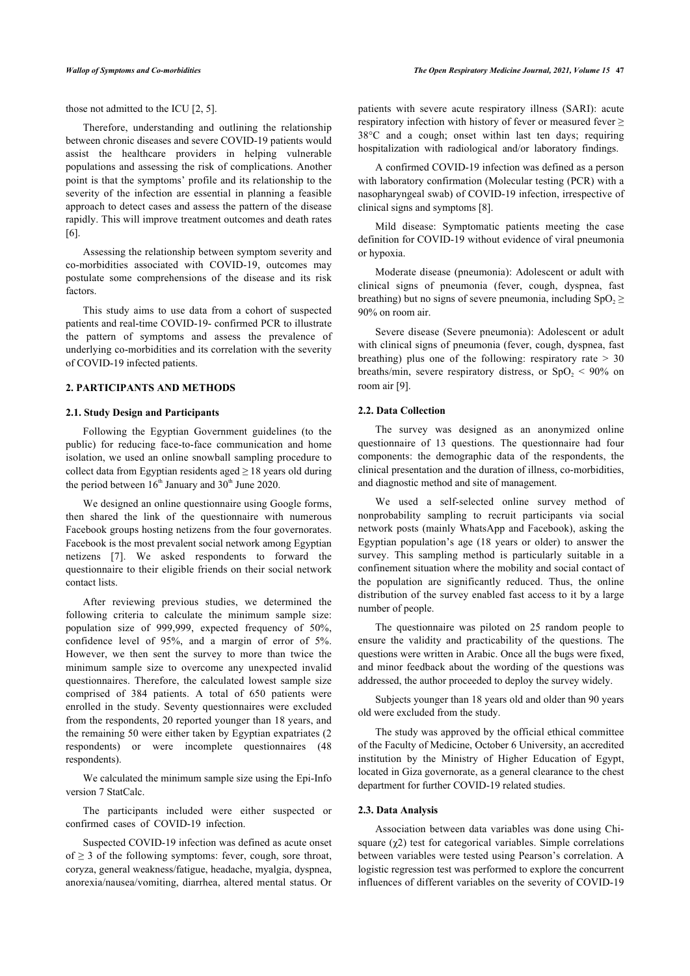those not admitted to the ICU [[2](#page-5-1), [5](#page-5-3)].

Therefore, understanding and outlining the relationship between chronic diseases and severe COVID-19 patients would assist the healthcare providers in helping vulnerable populations and assessing the risk of complications. Another point is that the symptoms' profile and its relationship to the severity of the infection are essential in planning a feasible approach to detect cases and assess the pattern of the disease rapidly. This will improve treatment outcomes and death rates [[6](#page-5-4)].

Assessing the relationship between symptom severity and co-morbidities associated with COVID-19, outcomes may postulate some comprehensions of the disease and its risk factors.

This study aims to use data from a cohort of suspected patients and real-time COVID-19- confirmed PCR to illustrate the pattern of symptoms and assess the prevalence of underlying co-morbidities and its correlation with the severity of COVID-19 infected patients.

# **2. PARTICIPANTS AND METHODS**

#### **2.1. Study Design and Participants**

Following the Egyptian Government guidelines (to the public) for reducing face-to-face communication and home isolation, we used an online snowball sampling procedure to collect data from Egyptian residents aged  $\geq$  18 years old during the period between  $16<sup>th</sup>$  January and  $30<sup>th</sup>$  June 2020.

We designed an online questionnaire using Google forms, then shared the link of the questionnaire with numerous Facebook groups hosting netizens from the four governorates. Facebook is the most prevalent social network among Egyptian netizens[[7](#page-5-5)]. We asked respondents to forward the questionnaire to their eligible friends on their social network contact lists.

After reviewing previous studies, we determined the following criteria to calculate the minimum sample size: population size of 999,999, expected frequency of 50%, confidence level of 95%, and a margin of error of 5%. However, we then sent the survey to more than twice the minimum sample size to overcome any unexpected invalid questionnaires. Therefore, the calculated lowest sample size comprised of 384 patients. A total of 650 patients were enrolled in the study. Seventy questionnaires were excluded from the respondents, 20 reported younger than 18 years, and the remaining 50 were either taken by Egyptian expatriates (2 respondents) or were incomplete questionnaires (48 respondents).

We calculated the minimum sample size using the Epi-Info version 7 StatCalc.

The participants included were either suspected or confirmed cases of COVID-19 infection.

Suspected COVID-19 infection was defined as acute onset of  $\geq$  3 of the following symptoms: fever, cough, sore throat, coryza, general weakness/fatigue, headache, myalgia, dyspnea, anorexia/nausea/vomiting, diarrhea, altered mental status. Or patients with severe acute respiratory illness (SARI): acute respiratory infection with history of fever or measured fever  $\geq$ 38°C and a cough; onset within last ten days; requiring hospitalization with radiological and/or laboratory findings.

A confirmed COVID-19 infection was defined as a person with laboratory confirmation (Molecular testing (PCR) with a nasopharyngeal swab) of COVID-19 infection, irrespective of clinical signs and symptoms [[8](#page-5-6)].

Mild disease: Symptomatic patients meeting the case definition for COVID-19 without evidence of viral pneumonia or hypoxia.

Moderate disease (pneumonia): Adolescent or adult with clinical signs of pneumonia (fever, cough, dyspnea, fast breathing) but no signs of severe pneumonia, including  $SpO<sub>2</sub> \ge$ 90% on room air.

Severe disease (Severe pneumonia): Adolescent or adult with clinical signs of pneumonia (fever, cough, dyspnea, fast breathing) plus one of the following: respiratory rate  $> 30$ breaths/min, severe respiratory distress, or  $SpO<sub>2</sub> < 90\%$  on room air [[9](#page-5-7)].

# **2.2. Data Collection**

The survey was designed as an anonymized online questionnaire of 13 questions. The questionnaire had four components: the demographic data of the respondents, the clinical presentation and the duration of illness, co-morbidities, and diagnostic method and site of management.

We used a self-selected online survey method of nonprobability sampling to recruit participants via social network posts (mainly WhatsApp and Facebook), asking the Egyptian population's age (18 years or older) to answer the survey. This sampling method is particularly suitable in a confinement situation where the mobility and social contact of the population are significantly reduced. Thus, the online distribution of the survey enabled fast access to it by a large number of people.

The questionnaire was piloted on 25 random people to ensure the validity and practicability of the questions. The questions were written in Arabic. Once all the bugs were fixed, and minor feedback about the wording of the questions was addressed, the author proceeded to deploy the survey widely.

Subjects younger than 18 years old and older than 90 years old were excluded from the study.

The study was approved by the official ethical committee of the Faculty of Medicine, October 6 University, an accredited institution by the Ministry of Higher Education of Egypt, located in Giza governorate, as a general clearance to the chest department for further COVID-19 related studies.

# **2.3. Data Analysis**

Association between data variables was done using Chisquare  $(\gamma 2)$  test for categorical variables. Simple correlations between variables were tested using Pearson's correlation. A logistic regression test was performed to explore the concurrent influences of different variables on the severity of COVID-19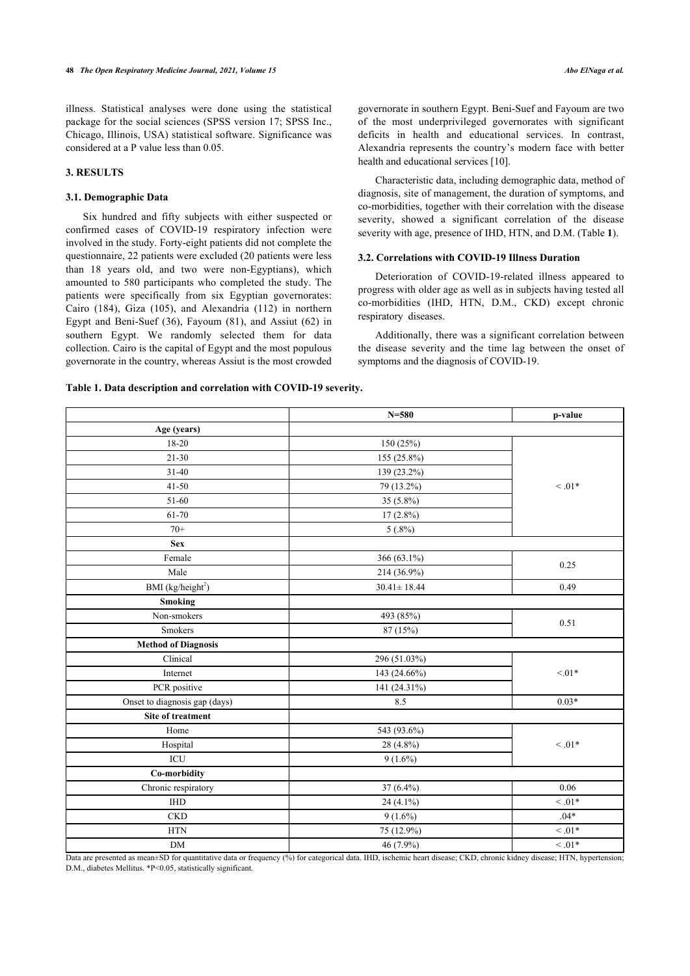illness. Statistical analyses were done using the statistical package for the social sciences (SPSS version 17; SPSS Inc., Chicago, Illinois, USA) statistical software. Significance was considered at a P value less than 0.05.

# **3. RESULTS**

## **3.1. Demographic Data**

Six hundred and fifty subjects with either suspected or confirmed cases of COVID-19 respiratory infection were involved in the study. Forty-eight patients did not complete the questionnaire, 22 patients were excluded (20 patients were less than 18 years old, and two were non-Egyptians), which amounted to 580 participants who completed the study. The patients were specifically from six Egyptian governorates: Cairo (184), Giza (105), and Alexandria (112) in northern Egypt and Beni-Suef (36), Fayoum (81), and Assiut (62) in southern Egypt. We randomly selected them for data collection. Cairo is the capital of Egypt and the most populous governorate in the country, whereas Assiut is the most crowded governorate in southern Egypt. Beni-Suef and Fayoum are two of the most underprivileged governorates with significant deficits in health and educational services. In contrast, Alexandria represents the country's modern face with better health and educational services [\[10](#page-5-8)].

Characteristic data, including demographic data, method of diagnosis, site of management, the duration of symptoms, and co-morbidities, together with their correlation with the disease severity, showed a significant correlation of the disease severity with age, presence of IHD, HTN, and D.M. (Table **[1](#page-2-0)**).

#### **3.2. Correlations with COVID-19 Illness Duration**

Deterioration of COVID-19-related illness appeared to progress with older age as well as in subjects having tested all co-morbidities (IHD, HTN, D.M., CKD) except chronic respiratory diseases.

Additionally, there was a significant correlation between the disease severity and the time lag between the onset of symptoms and the diagnosis of COVID-19.

## <span id="page-2-0"></span>**Table 1. Data description and correlation with COVID-19 severity.**

|                               | $N = 580$         | p-value     |  |
|-------------------------------|-------------------|-------------|--|
| Age (years)                   |                   |             |  |
| 18-20                         | 150 (25%)         |             |  |
| $21 - 30$                     | 155 (25.8%)       | $0.1*$      |  |
| $31 - 40$                     | 139 (23.2%)       |             |  |
| $41 - 50$                     | 79 (13.2%)        |             |  |
| 51-60                         | 35 (5.8%)         |             |  |
| 61-70                         | $17(2.8\%)$       |             |  |
| $70+$                         | $5(.8\%)$         |             |  |
| <b>Sex</b>                    |                   |             |  |
| Female                        | 366 (63.1%)       | 0.25        |  |
| Male                          | 214 (36.9%)       |             |  |
| BMI (kg/height <sup>2</sup> ) | $30.41 \pm 18.44$ | 0.49        |  |
| <b>Smoking</b>                |                   |             |  |
| Non-smokers                   | 493 (85%)         | 0.51        |  |
| <b>Smokers</b>                | 87 (15%)          |             |  |
| <b>Method of Diagnosis</b>    |                   |             |  |
| Clinical                      | 296 (51.03%)      |             |  |
| Internet                      | 143 (24.66%)      | $< 01*$     |  |
| PCR positive                  | 141 (24.31%)      |             |  |
| Onset to diagnosis gap (days) | 8.5               | $0.03*$     |  |
| Site of treatment             |                   |             |  |
| Home                          | 543 (93.6%)       |             |  |
| Hospital                      | 28 (4.8%)         | $< 0.01*$   |  |
| $\rm{ICU}$                    | $9(1.6\%)$        |             |  |
| Co-morbidity                  |                   |             |  |
| Chronic respiratory           | 37 (6.4%)         | 0.06        |  |
| <b>IHD</b>                    | 24 (4.1%)         | $< 0.01*$   |  |
| $_{\rm CKD}$                  | $9(1.6\%)$        | $.04*$      |  |
| $\operatorname{HTN}$          | 75 (12.9%)        | $\leq .01*$ |  |
| DM                            | 46 (7.9%)         | $\leq .01*$ |  |

<span id="page-2-1"></span>Data are presented as mean±SD for quantitative data or frequency (%) for categorical data. IHD, ischemic heart disease; CKD, chronic kidney disease; HTN, hypertension; D.M., diabetes Mellitus. \*P<0.05, statistically significant.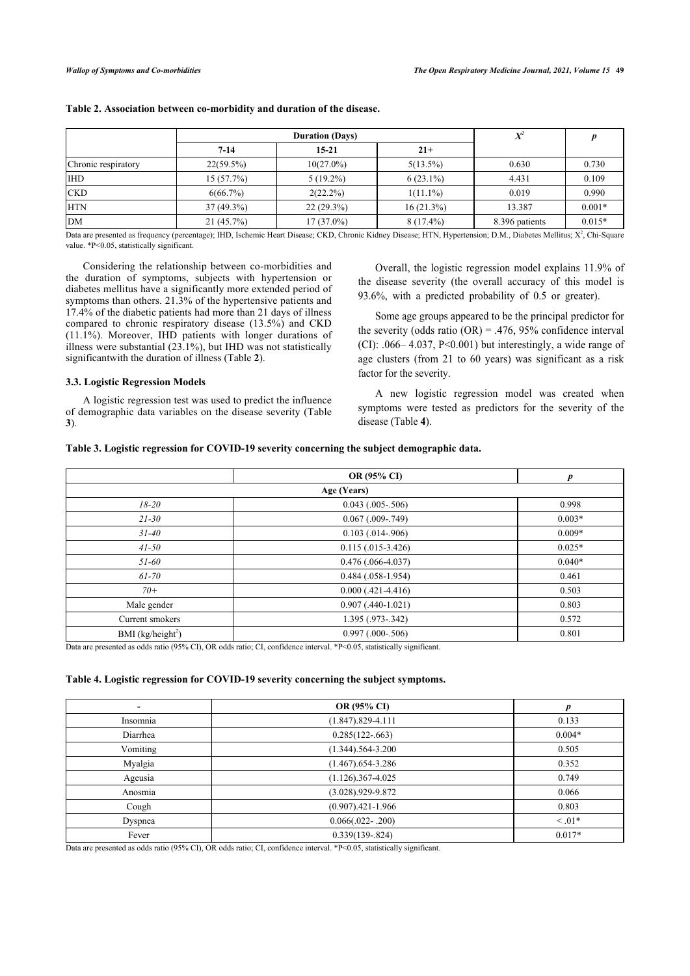|                     | <b>Duration (Days)</b> |              | $\mathbf{V}^2$<br>Λ |                |          |
|---------------------|------------------------|--------------|---------------------|----------------|----------|
|                     | $7 - 14$               | $15 - 21$    | $21+$               |                |          |
| Chronic respiratory | $22(59.5\%)$           | $10(27.0\%)$ | $5(13.5\%)$         | 0.630          | 0.730    |
| <b>IHD</b>          | 15(57.7%)              | $5(19.2\%)$  | $6(23.1\%)$         | 4.431          | 0.109    |
| <b>CKD</b>          | 6(66.7%)               | $2(22.2\%)$  | $1(11.1\%)$         | 0.019          | 0.990    |
| <b>HTN</b>          | $37(49.3\%)$           | $22(29.3\%)$ | $16(21.3\%)$        | 13.387         | $0.001*$ |
| <b>DM</b>           | 21(45.7%)              | $17(37.0\%)$ | $8(17.4\%)$         | 8.396 patients | $0.015*$ |

# **Table 2. Association between co-morbidity and duration of the disease.**

Data are presented as frequency (percentage); IHD, Ischemic Heart Disease; CKD, Chronic Kidney Disease; HTN, Hypertension; D.M., Diabetes Mellitus; X<sup>2</sup>, Chi-Square value. \*P<0.05, statistically significant.

Considering the relationship between co-morbidities and the duration of symptoms, subjects with hypertension or diabetes mellitus have a significantly more extended period of symptoms than others. 21.3% of the hypertensive patients and 17.4% of the diabetic patients had more than 21 days of illness compared to chronic respiratory disease (13.5%) and CKD (11.1%). Moreover, IHD patients with longer durations of illness were substantial (23.1%), but IHD was not statistically significantwith the duration of illness (Table **[2](#page-2-1)**).

#### **3.3. Logistic Regression Models**

A logistic regression test was used to predict the influence of demographic data variables on the disease severity (Table **[3](#page-3-0)**).

Overall, the logistic regression model explains 11.9% of the disease severity (the overall accuracy of this model is 93.6%, with a predicted probability of 0.5 or greater).

Some age groups appeared to be the principal predictor for the severity (odds ratio  $(OR) = .476, 95\%$  confidence interval (CI): .066– 4.037, P<0.001) but interestingly, a wide range of age clusters (from 21 to 60 years) was significant as a risk factor for the severity.

A new logistic regression model was created when symptoms we[re](#page-3-1) tested as predictors for the severity of the disease (Table **4**).

#### <span id="page-3-0"></span>**Table 3. Logistic regression for COVID-19 severity concerning the subject demographic data.**

|                               | OR (95% CI)            | p        |
|-------------------------------|------------------------|----------|
| Age (Years)                   |                        |          |
| $18 - 20$                     | $0.043$ $(.005-.506)$  | 0.998    |
| $21 - 30$                     | $0.067$ (.009-.749)    | $0.003*$ |
| $31 - 40$                     | $0.103$ $(.014-.906)$  | $0.009*$ |
| $41 - 50$                     | $0.115(.015-3.426)$    | $0.025*$ |
| $51 - 60$                     | $0.476$ (.066-4.037)   | $0.040*$ |
| $61 - 70$                     | $0.484$ $(.058-1.954)$ | 0.461    |
| $70+$                         | $0.000$ $(.421-4.416)$ | 0.503    |
| Male gender                   | $0.907$ (.440-1.021)   | 0.803    |
| Current smokers               | 1.395 (.973-.342)      | 0.572    |
| BMI (kg/height <sup>2</sup> ) | $0.997$ $(.000-.506)$  | 0.801    |

Data are presented as odds ratio (95% CI), OR odds ratio; CI, confidence interval. \*P<0.05, statistically significant.

## <span id="page-3-1"></span>**Table 4. Logistic regression for COVID-19 severity concerning the subject symptoms.**

|          | OR (95% CI)          | n         |
|----------|----------------------|-----------|
| Insomnia | $(1.847)$ .829-4.111 | 0.133     |
| Diarrhea | $0.285(122-.663)$    | $0.004*$  |
| Vomiting | $(1.344)$ .564-3.200 | 0.505     |
| Myalgia  | $(1.467)$ .654-3.286 | 0.352     |
| Ageusia  | $(1.126)$ .367-4.025 | 0.749     |
| Anosmia  | $(3.028)$ .929-9.872 | 0.066     |
| Cough    | $(0.907)$ .421-1.966 | 0.803     |
| Dyspnea  | $0.066(.022-.200)$   | $< 0.01*$ |
| Fever    | $0.339(139 - 824)$   | $0.017*$  |

Data are presented as odds ratio (95% CI), OR odds ratio; CI, confidence interval. \*P<0.05, statistically significant.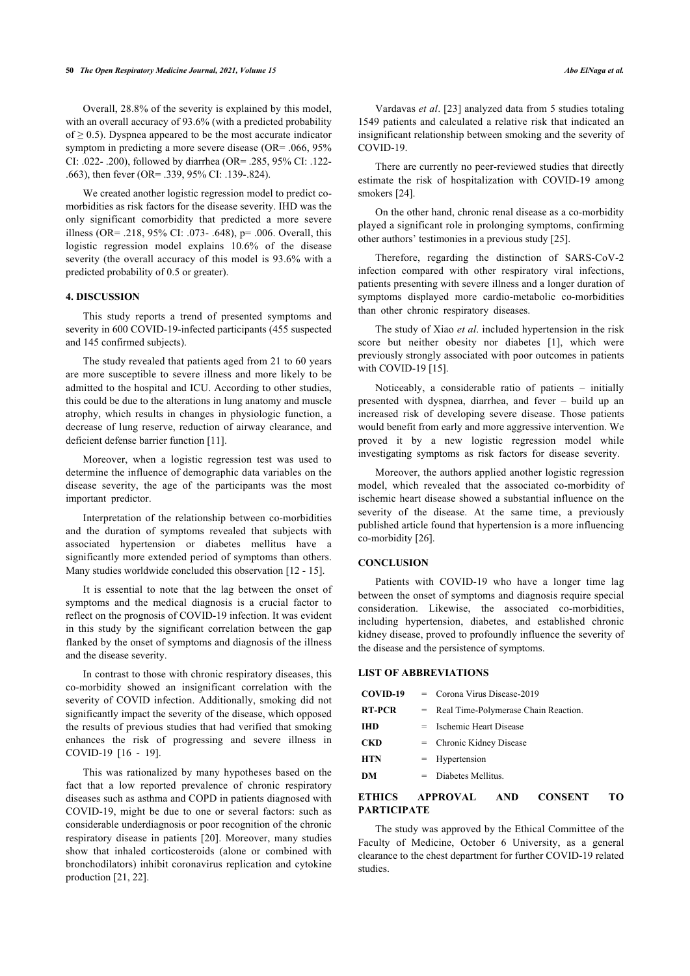Overall, 28.8% of the severity is explained by this model, with an overall accuracy of 93.6% (with a predicted probability of  $\geq$  0.5). Dyspnea appeared to be the most accurate indicator symptom in predicting a more severe disease (OR= .066, 95% CI: .022- .200), followed by diarrhea (OR= .285, 95% CI: .122- .663), then fever (OR= .339, 95% CI: .139-.824).

We created another logistic regression model to predict comorbidities as risk factors for the disease severity. IHD was the only significant comorbidity that predicted a more severe illness (OR= .218, 95% CI: .073- .648), p= .006. Overall, this logistic regression model explains 10.6% of the disease severity (the overall accuracy of this model is 93.6% with a predicted probability of 0.5 or greater).

### **4. DISCUSSION**

This study reports a trend of presented symptoms and severity in 600 COVID-19-infected participants (455 suspected and 145 confirmed subjects).

The study revealed that patients aged from 21 to 60 years are more susceptible to severe illness and more likely to be admitted to the hospital and ICU. According to other studies, this could be due to the alterations in lung anatomy and muscle atrophy, which results in changes in physiologic function, a decrease of lung reserve, reduction of airway clearance, and deficient defense barrier function [[11\]](#page-5-9).

Moreover, when a logistic regression test was used to determine the influence of demographic data variables on the disease severity, the age of the participants was the most important predictor.

Interpretation of the relationship between co-morbidities and the duration of symptoms revealed that subjects with associated hypertension or diabetes mellitus have a significantly more extended period of symptoms than others. Many studies worldwide concluded this observation [[12](#page-5-10) - [15](#page-5-11)].

It is essential to note that the lag between the onset of symptoms and the medical diagnosis is a crucial factor to reflect on the prognosis of COVID-19 infection. It was evident in this study by the significant correlation between the gap flanked by the onset of symptoms and diagnosis of the illness and the disease severity.

In contrast to those with chronic respiratory diseases, this co-morbidity showed an insignificant correlation with the severity of COVID infection. Additionally, smoking did not significantly impact the severity of the disease, which opposed the results of previous studies that had verified that smoking enhances the risk of progressing and severe illness in COVID-19 [\[16](#page-5-12) - [19\]](#page-5-13).

This was rationalized by many hypotheses based on the fact that a low reported prevalence of chronic respiratory diseases such as asthma and COPD in patients diagnosed with COVID-19, might be due to one or several factors: such as considerable underdiagnosis or poor recognition of the chronic respiratory disease in patients[[20\]](#page-5-14). Moreover, many studies show that inhaled corticosteroids (alone or combined with bronchodilators) inhibit coronavirus replication and cytokine production [[21,](#page-5-15) [22](#page-5-16)].

Vardavas *et al*. [[23](#page-5-17)] analyzed data from 5 studies totaling 1549 patients and calculated a relative risk that indicated an insignificant relationship between smoking and the severity of

There are currently no peer-reviewed studies that directly estimate the risk of hospitalization with COVID-19 among smokers [\[24](#page-5-18)].

On the other hand, chronic renal disease as a co-morbidity played a significant role in prolonging symptoms, confirming other authors' testimonies in a previous study [\[25](#page-5-19)].

Therefore, regarding the distinction of SARS-CoV-2 infection compared with other respiratory viral infections, patients presenting with severe illness and a longer duration of symptoms displayed more cardio-metabolic co-morbidities than other chronic respiratory diseases.

The study of Xiao *et al*. included hypertension in the risk score but neither obesity nor diabetes[[1](#page-5-0)], which were previously strongly associated with poor outcomes in patients with COVID-19 [[15\]](#page-5-11).

Noticeably, a considerable ratio of patients – initially presented with dyspnea, diarrhea, and fever – build up an increased risk of developing severe disease. Those patients would benefit from early and more aggressive intervention. We proved it by a new logistic regression model while investigating symptoms as risk factors for disease severity.

Moreover, the authors applied another logistic regression model, which revealed that the associated co-morbidity of ischemic heart disease showed a substantial influence on the severity of the disease. At the same time, a previously published article found that hypertension is a more influencing co-morbidity [\[26](#page-5-20)].

# **CONCLUSION**

COVID-19.

Patients with COVID-19 who have a longer time lag between the onset of symptoms and diagnosis require special consideration. Likewise, the associated co-morbidities, including hypertension, diabetes, and established chronic kidney disease, proved to profoundly influence the severity of the disease and the persistence of symptoms.

#### **LIST OF ABBREVIATIONS**

| COVID-19      |     | $=$ Corona Virus Disease-2019            |
|---------------|-----|------------------------------------------|
| <b>RT-PCR</b> |     | $=$ Real Time-Polymerase Chain Reaction. |
| IHD           |     | = Ischemic Heart Disease                 |
| <b>CKD</b>    |     | $=$ Chronic Kidney Disease               |
| <b>HTN</b>    |     | $=$ Hypertension                         |
| DМ            | $=$ | Diabetes Mellitus.                       |
|               |     |                                          |

# **ETHICS APPROVAL AND CONSENT TO PARTICIPATE**

The study was approved by the Ethical Committee of the Faculty of Medicine, October 6 University, as a general clearance to the chest department for further COVID-19 related studies.